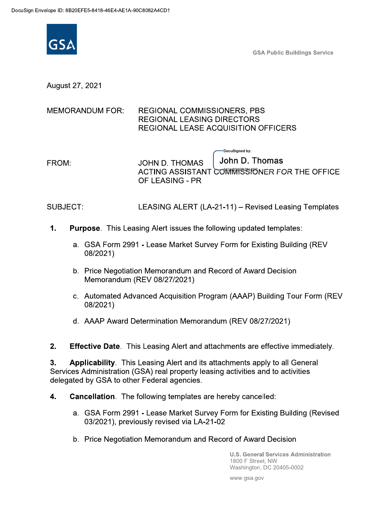

**GSA Public Buildings Service** 

August 27, 2021

## **MEMORANDUM FOR: REGIONAL COMMISSIONERS, PBS REGIONAL LEASING DIRECTORS REGIONAL LEASE ACQUISITION OFFICERS**

-DocuSianed by: John D. Thomas **JOHN D. THOMAS** FROM: ACTING ASSISTANT COMMISSIONER FOR THE OFFICE OF LEASING - PR

SUBJECT: LEASING ALERT (LA-21-11) - Revised Leasing Templates

- $1.$ **Purpose.** This Leasing Alert issues the following updated templates:
	- a. GSA Form 2991 Lease Market Survey Form for Existing Building (REV 08/2021)
	- b. Price Negotiation Memorandum and Record of Award Decision Memorandum (REV 08/27/2021)
	- c. Automated Advanced Acquisition Program (AAAP) Building Tour Form (REV 08/2021)
	- d. AAAP Award Determination Memorandum (REV 08/27/2021)

 $2.$ **Effective Date**. This Leasing Alert and attachments are effective immediately.

Applicability. This Leasing Alert and its attachments apply to all General  $3.$ Services Administration (GSA) real property leasing activities and to activities delegated by GSA to other Federal agencies.

- Cancellation. The following templates are hereby cancelled: 4.
	- a. GSA Form 2991 Lease Market Survey Form for Existing Building (Revised 03/2021), previously revised via LA-21-02
	- b. Price Negotiation Memorandum and Record of Award Decision

**U.S. General Services Administration** 1800 F Street. NW Washington, DC 20405-0002

www.gsa.gov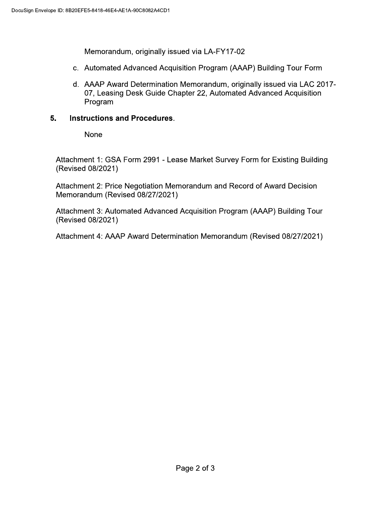Memorandum, originally issued via LA-FY17-02

- c. Automated Advanced Acquisition Program (AAAP) Building Tour Form
- d. AAAP Award Determination Memorandum, originally issued via LAC 2017-07, Leasing Desk Guide Chapter 22, Automated Advanced Acquisition Program

## 5. **Instructions and Procedures.**

**None** 

Attachment 1: GSA Form 2991 - Lease Market Survey Form for Existing Building (Revised 08/2021)

Attachment 2: Price Negotiation Memorandum and Record of Award Decision Memorandum (Revised 08/27/2021)

Attachment 3: Automated Advanced Acquisition Program (AAAP) Building Tour (Revised 08/2021)

Attachment 4: AAAP Award Determination Memorandum (Revised 08/27/2021)